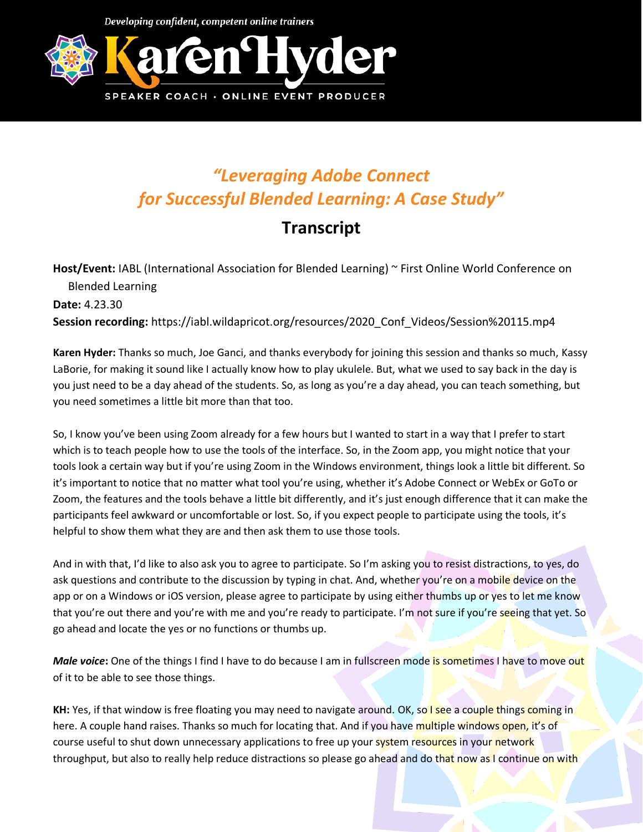Developing confident, competent online trainers



## *"Leveraging Adobe Connect for Successful Blended Learning: A Case Study"*

## **Transcript**

**Host/Event:** IABL (International Association for Blended Learning) ~ First Online World Conference on Blended Learning **Date:** 4.23.30 **Session recording:** https://iabl.wildapricot.org/resources/2020\_Conf\_Videos/Session%20115.mp4

**Karen Hyder:** Thanks so much, Joe Ganci, and thanks everybody for joining this session and thanks so much, Kassy LaBorie, for making it sound like I actually know how to play ukulele. But, what we used to say back in the day is you just need to be a day ahead of the students. So, as long as you're a day ahead, you can teach something, but you need sometimes a little bit more than that too.

So, I know you've been using Zoom already for a few hours but I wanted to start in a way that I prefer to start which is to teach people how to use the tools of the interface. So, in the Zoom app, you might notice that your tools look a certain way but if you're using Zoom in the Windows environment, things look a little bit different. So it's important to notice that no matter what tool you're using, whether it's Adobe Connect or WebEx or GoTo or Zoom, the features and the tools behave a little bit differently, and it's just enough difference that it can make the participants feel awkward or uncomfortable or lost. So, if you expect people to participate using the tools, it's helpful to show them what they are and then ask them to use those tools.

And in with that, I'd like to also ask you to agree to participate. So I'm asking you to resist distractions, to yes, do ask questions and contribute to the discussion by typing in chat. And, whether you're on a mobile device on the app or on a Windows or iOS version, please agree to participate by using either thumbs up or yes to let me know that you're out there and you're with me and you're ready to participate. I'm not sure if you're seeing that yet. So go ahead and locate the yes or no functions or thumbs up.

*Male voice*: One of the things I find I have to do because I am in fullscreen mode is sometimes I have to move out of it to be able to see those things.

**KH:** Yes, if that window is free floating you may need to navigate around. OK, so I see a couple things coming in here. A couple hand raises. Thanks so much for locating that. And if you have multiple windows open, it's of course useful to shut down unnecessary applications to free up your system resources in your network throughput, but also to really help reduce distractions so please go ahead and do that now as I continue on with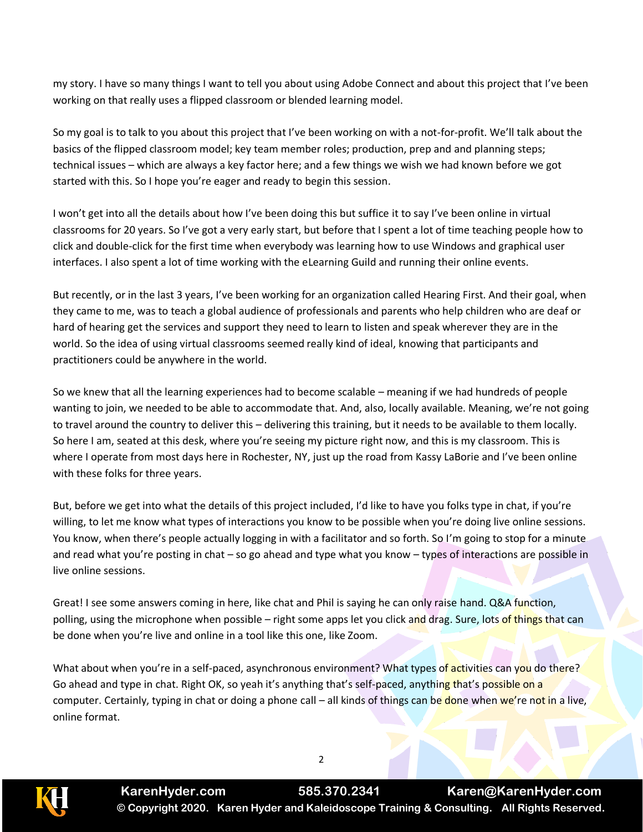my story. I have so many things I want to tell you about using Adobe Connect and about this project that I've been working on that really uses a flipped classroom or blended learning model.

So my goal is to talk to you about this project that I've been working on with a not-for-profit. We'll talk about the basics of the flipped classroom model; key team member roles; production, prep and and planning steps; technical issues – which are always a key factor here; and a few things we wish we had known before we got started with this. So I hope you're eager and ready to begin this session.

I won't get into all the details about how I've been doing this but suffice it to say I've been online in virtual classrooms for 20 years. So I've got a very early start, but before that I spent a lot of time teaching people how to click and double-click for the first time when everybody was learning how to use Windows and graphical user interfaces. I also spent a lot of time working with the eLearning Guild and running their online events.

But recently, or in the last 3 years, I've been working for an organization called Hearing First. And their goal, when they came to me, was to teach a global audience of professionals and parents who help children who are deaf or hard of hearing get the services and support they need to learn to listen and speak wherever they are in the world. So the idea of using virtual classrooms seemed really kind of ideal, knowing that participants and practitioners could be anywhere in the world.

So we knew that all the learning experiences had to become scalable – meaning if we had hundreds of people wanting to join, we needed to be able to accommodate that. And, also, locally available. Meaning, we're not going to travel around the country to deliver this – delivering this training, but it needs to be available to them locally. So here I am, seated at this desk, where you're seeing my picture right now, and this is my classroom. This is where I operate from most days here in Rochester, NY, just up the road from Kassy LaBorie and I've been online with these folks for three years.

But, before we get into what the details of this project included, I'd like to have you folks type in chat, if you're willing, to let me know what types of interactions you know to be possible when you're doing live online sessions. You know, when there's people actually logging in with a facilitator and so forth. So I'm going to stop for a minute and read what you're posting in chat – so go ahead and type what you know – types of interactions are possible in live online sessions.

Great! I see some answers coming in here, like chat and Phil is saying he can only raise hand. Q&A function, polling, using the microphone when possible – right some apps let you click and drag. Sure, lots of things that can be done when you're live and online in a tool like this one, like Zoom.

What about when you're in a self-paced, asynchronous environment? What types of activities can you do there? Go ahead and type in chat. Right OK, so yeah it's anything that's self-paced, anything that's possible on a computer. Certainly, typing in chat or doing a phone call – all kinds of things can be done when we're not in a live, online format.

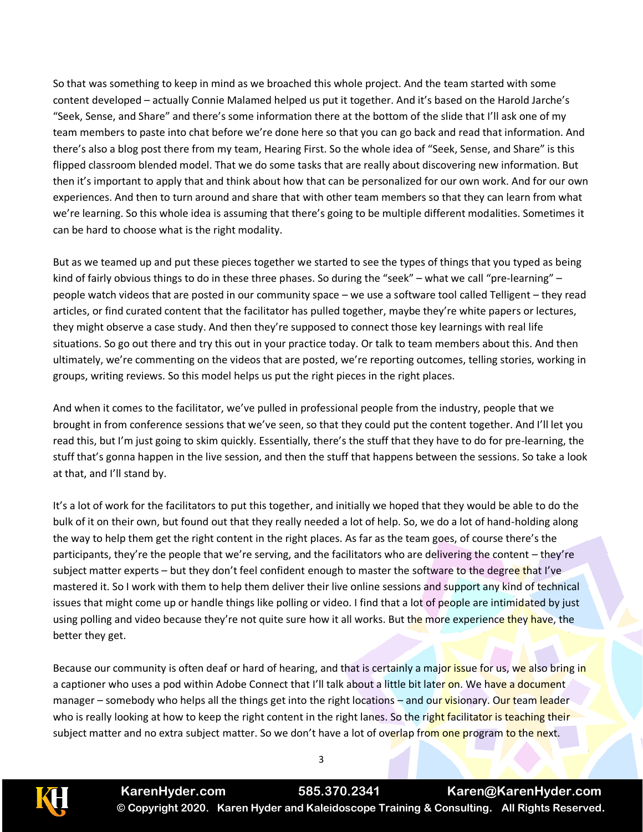So that was something to keep in mind as we broached this whole project. And the team started with some content developed – actually Connie Malamed helped us put it together. And it's based on the Harold Jarche's "Seek, Sense, and Share" and there's some information there at the bottom of the slide that I'll ask one of my team members to paste into chat before we're done here so that you can go back and read that information. And there's also a blog post there from my team, Hearing First. So the whole idea of "Seek, Sense, and Share" is this flipped classroom blended model. That we do some tasks that are really about discovering new information. But then it's important to apply that and think about how that can be personalized for our own work. And for our own experiences. And then to turn around and share that with other team members so that they can learn from what we're learning. So this whole idea is assuming that there's going to be multiple different modalities. Sometimes it can be hard to choose what is the right modality.

But as we teamed up and put these pieces together we started to see the types of things that you typed as being kind of fairly obvious things to do in these three phases. So during the "seek" – what we call "pre-learning" – people watch videos that are posted in our community space – we use a software tool called Telligent – they read articles, or find curated content that the facilitator has pulled together, maybe they're white papers or lectures, they might observe a case study. And then they're supposed to connect those key learnings with real life situations. So go out there and try this out in your practice today. Or talk to team members about this. And then ultimately, we're commenting on the videos that are posted, we're reporting outcomes, telling stories, working in groups, writing reviews. So this model helps us put the right pieces in the right places.

And when it comes to the facilitator, we've pulled in professional people from the industry, people that we brought in from conference sessions that we've seen, so that they could put the content together. And I'll let you read this, but I'm just going to skim quickly. Essentially, there's the stuff that they have to do for pre-learning, the stuff that's gonna happen in the live session, and then the stuff that happens between the sessions. So take a look at that, and I'll stand by.

It's a lot of work for the facilitators to put this together, and initially we hoped that they would be able to do the bulk of it on their own, but found out that they really needed a lot of help. So, we do a lot of hand-holding along the way to help them get the right content in the right places. As far as the team goes, of course there's the participants, they're the people that we're serving, and the facilitators who are delivering the content – they're subject matter experts – but they don't feel confident enough to master the software to the degree that I've mastered it. So I work with them to help them deliver their live online sessions and support any kind of technical issues that might come up or handle things like polling or video. I find that a lot of people are intimidated by just using polling and video because they're not quite sure how it all works. But the more experience they have, the better they get.

Because our community is often deaf or hard of hearing, and that is certainly a major issue for us, we also bring in a captioner who uses a pod within Adobe Connect that I'll talk about a little bit later on. We have a document manager – somebody who helps all the things get into the right locations – and our visionary. Our team leader who is really looking at how to keep the right content in the right lanes. So the right facilitator is teaching their subject matter and no extra subject matter. So we don't have a lot of overlap from one program to the next.



**KarenHyder.com 585.370.2341 Karen@KarenHyder.com © Copyright 2020. Karen Hyder and Kaleidoscope Training & Consulting. All Rights Reserved.**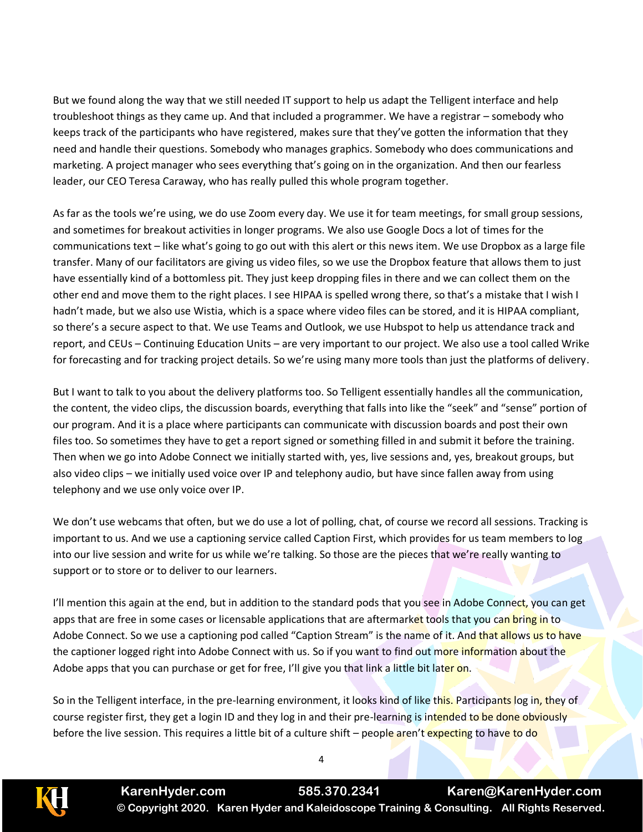But we found along the way that we still needed IT support to help us adapt the Telligent interface and help troubleshoot things as they came up. And that included a programmer. We have a registrar – somebody who keeps track of the participants who have registered, makes sure that they've gotten the information that they need and handle their questions. Somebody who manages graphics. Somebody who does communications and marketing. A project manager who sees everything that's going on in the organization. And then our fearless leader, our CEO Teresa Caraway, who has really pulled this whole program together.

As far as the tools we're using, we do use Zoom every day. We use it for team meetings, for small group sessions, and sometimes for breakout activities in longer programs. We also use Google Docs a lot of times for the communications text – like what's going to go out with this alert or this news item. We use Dropbox as a large file transfer. Many of our facilitators are giving us video files, so we use the Dropbox feature that allows them to just have essentially kind of a bottomless pit. They just keep dropping files in there and we can collect them on the other end and move them to the right places. I see HIPAA is spelled wrong there, so that's a mistake that I wish I hadn't made, but we also use Wistia, which is a space where video files can be stored, and it is HIPAA compliant, so there's a secure aspect to that. We use Teams and Outlook, we use Hubspot to help us attendance track and report, and CEUs – Continuing Education Units – are very important to our project. We also use a tool called Wrike for forecasting and for tracking project details. So we're using many more tools than just the platforms of delivery.

But I want to talk to you about the delivery platforms too. So Telligent essentially handles all the communication, the content, the video clips, the discussion boards, everything that falls into like the "seek" and "sense" portion of our program. And it is a place where participants can communicate with discussion boards and post their own files too. So sometimes they have to get a report signed or something filled in and submit it before the training. Then when we go into Adobe Connect we initially started with, yes, live sessions and, yes, breakout groups, but also video clips – we initially used voice over IP and telephony audio, but have since fallen away from using telephony and we use only voice over IP.

We don't use webcams that often, but we do use a lot of polling, chat, of course we record all sessions. Tracking is important to us. And we use a captioning service called Caption First, which provides for us team members to log into our live session and write for us while we're talking. So those are the pieces that we're really wanting to support or to store or to deliver to our learners.

I'll mention this again at the end, but in addition to the standard pods that you see in Adobe Connect, you can get apps that are free in some cases or licensable applications that are aftermarket tools that you can bring in to Adobe Connect. So we use a captioning pod called "Caption Stream" is the name of it. And that allows us to have the captioner logged right into Adobe Connect with us. So if you want to find out more information about the Adobe apps that you can purchase or get for free, I'll give you that link a little bit later on.

So in the Telligent interface, in the pre-learning environment, it looks kind of like this. Participants log in, they of course register first, they get a login ID and they log in and their pre-learning is intended to be done obviously before the live session. This requires a little bit of a culture shift – people aren't expecting to have to do

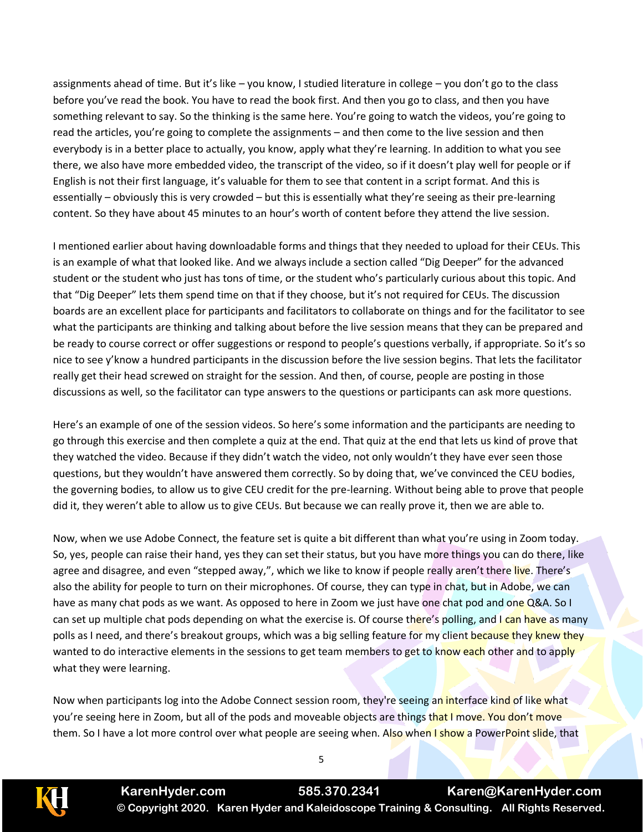assignments ahead of time. But it's like – you know, I studied literature in college – you don't go to the class before you've read the book. You have to read the book first. And then you go to class, and then you have something relevant to say. So the thinking is the same here. You're going to watch the videos, you're going to read the articles, you're going to complete the assignments – and then come to the live session and then everybody is in a better place to actually, you know, apply what they're learning. In addition to what you see there, we also have more embedded video, the transcript of the video, so if it doesn't play well for people or if English is not their first language, it's valuable for them to see that content in a script format. And this is essentially – obviously this is very crowded – but this is essentially what they're seeing as their pre-learning content. So they have about 45 minutes to an hour's worth of content before they attend the live session.

I mentioned earlier about having downloadable forms and things that they needed to upload for their CEUs. This is an example of what that looked like. And we always include a section called "Dig Deeper" for the advanced student or the student who just has tons of time, or the student who's particularly curious about this topic. And that "Dig Deeper" lets them spend time on that if they choose, but it's not required for CEUs. The discussion boards are an excellent place for participants and facilitators to collaborate on things and for the facilitator to see what the participants are thinking and talking about before the live session means that they can be prepared and be ready to course correct or offer suggestions or respond to people's questions verbally, if appropriate. So it's so nice to see y'know a hundred participants in the discussion before the live session begins. That lets the facilitator really get their head screwed on straight for the session. And then, of course, people are posting in those discussions as well, so the facilitator can type answers to the questions or participants can ask more questions.

Here's an example of one of the session videos. So here's some information and the participants are needing to go through this exercise and then complete a quiz at the end. That quiz at the end that lets us kind of prove that they watched the video. Because if they didn't watch the video, not only wouldn't they have ever seen those questions, but they wouldn't have answered them correctly. So by doing that, we've convinced the CEU bodies, the governing bodies, to allow us to give CEU credit for the pre-learning. Without being able to prove that people did it, they weren't able to allow us to give CEUs. But because we can really prove it, then we are able to.

Now, when we use Adobe Connect, the feature set is quite a bit different than what you're using in Zoom today. So, yes, people can raise their hand, yes they can set their status, but you have more things you can do there, like agree and disagree, and even "stepped away,", which we like to know if people really aren't there live. There's also the ability for people to turn on their microphones. Of course, they can type in chat, but in Adobe, we can have as many chat pods as we want. As opposed to here in Zoom we just have one chat pod and one Q&A. So I can set up multiple chat pods depending on what the exercise is. Of course there's polling, and I can have as many polls as I need, and there's breakout groups, which was a big selling feature for my client because they knew they wanted to do interactive elements in the sessions to get team members to get to know each other and to apply what they were learning.

Now when participants log into the Adobe Connect session room, they're seeing an interface kind of like what you're seeing here in Zoom, but all of the pods and moveable objects are things that I move. You don't move them. So I have a lot more control over what people are seeing when. Also when I show a PowerPoint slide, that

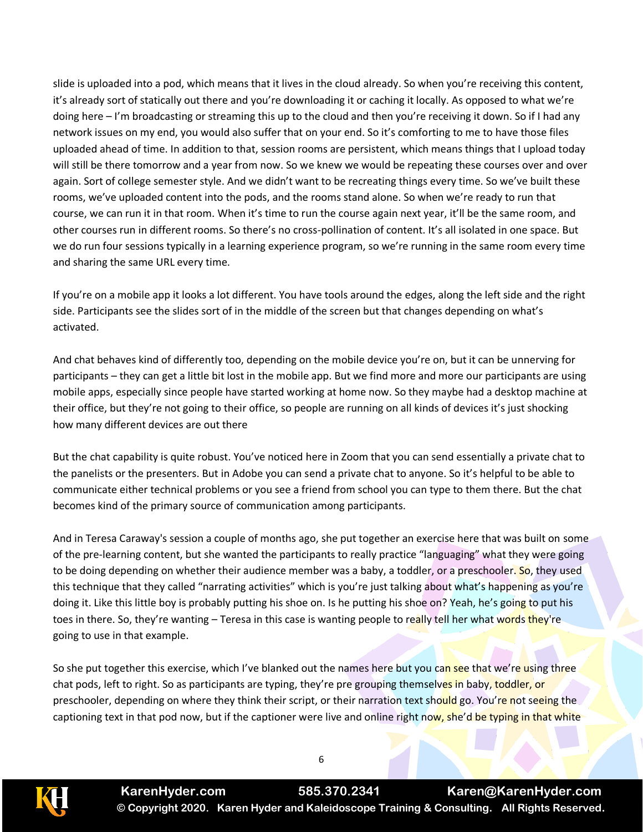slide is uploaded into a pod, which means that it lives in the cloud already. So when you're receiving this content, it's already sort of statically out there and you're downloading it or caching it locally. As opposed to what we're doing here – I'm broadcasting or streaming this up to the cloud and then you're receiving it down. So if I had any network issues on my end, you would also suffer that on your end. So it's comforting to me to have those files uploaded ahead of time. In addition to that, session rooms are persistent, which means things that I upload today will still be there tomorrow and a year from now. So we knew we would be repeating these courses over and over again. Sort of college semester style. And we didn't want to be recreating things every time. So we've built these rooms, we've uploaded content into the pods, and the rooms stand alone. So when we're ready to run that course, we can run it in that room. When it's time to run the course again next year, it'll be the same room, and other courses run in different rooms. So there's no cross-pollination of content. It's all isolated in one space. But we do run four sessions typically in a learning experience program, so we're running in the same room every time and sharing the same URL every time.

If you're on a mobile app it looks a lot different. You have tools around the edges, along the left side and the right side. Participants see the slides sort of in the middle of the screen but that changes depending on what's activated.

And chat behaves kind of differently too, depending on the mobile device you're on, but it can be unnerving for participants – they can get a little bit lost in the mobile app. But we find more and more our participants are using mobile apps, especially since people have started working at home now. So they maybe had a desktop machine at their office, but they're not going to their office, so people are running on all kinds of devices it's just shocking how many different devices are out there

But the chat capability is quite robust. You've noticed here in Zoom that you can send essentially a private chat to the panelists or the presenters. But in Adobe you can send a private chat to anyone. So it's helpful to be able to communicate either technical problems or you see a friend from school you can type to them there. But the chat becomes kind of the primary source of communication among participants.

And in Teresa Caraway's session a couple of months ago, she put together an exercise here that was built on some of the pre-learning content, but she wanted the participants to really practice "languaging" what they were going to be doing depending on whether their audience member was a baby, a toddler, or a preschooler. So, they used this technique that they called "narrating activities" which is you're just talking about what's happening as you're doing it. Like this little boy is probably putting his shoe on. Is he putting his shoe on? Yeah, he's going to put his toes in there. So, they're wanting – Teresa in this case is wanting people to really tell her what words they're going to use in that example.

So she put together this exercise, which I've blanked out the names here but you can see that we're using three chat pods, left to right. So as participants are typing, they're pre grouping themselves in baby, toddler, or preschooler, depending on where they think their script, or their narration text should go. You're not seeing the captioning text in that pod now, but if the captioner were live and online right now, she'd be typing in that white

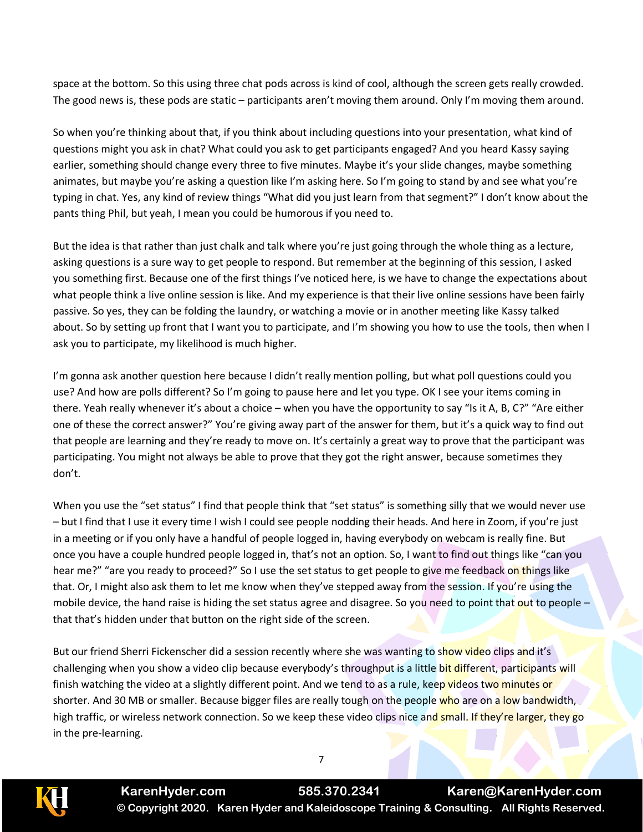space at the bottom. So this using three chat pods across is kind of cool, although the screen gets really crowded. The good news is, these pods are static – participants aren't moving them around. Only I'm moving them around.

So when you're thinking about that, if you think about including questions into your presentation, what kind of questions might you ask in chat? What could you ask to get participants engaged? And you heard Kassy saying earlier, something should change every three to five minutes. Maybe it's your slide changes, maybe something animates, but maybe you're asking a question like I'm asking here. So I'm going to stand by and see what you're typing in chat. Yes, any kind of review things "What did you just learn from that segment?" I don't know about the pants thing Phil, but yeah, I mean you could be humorous if you need to.

But the idea is that rather than just chalk and talk where you're just going through the whole thing as a lecture, asking questions is a sure way to get people to respond. But remember at the beginning of this session, I asked you something first. Because one of the first things I've noticed here, is we have to change the expectations about what people think a live online session is like. And my experience is that their live online sessions have been fairly passive. So yes, they can be folding the laundry, or watching a movie or in another meeting like Kassy talked about. So by setting up front that I want you to participate, and I'm showing you how to use the tools, then when I ask you to participate, my likelihood is much higher.

I'm gonna ask another question here because I didn't really mention polling, but what poll questions could you use? And how are polls different? So I'm going to pause here and let you type. OK I see your items coming in there. Yeah really whenever it's about a choice – when you have the opportunity to say "Is it A, B, C?" "Are either one of these the correct answer?" You're giving away part of the answer for them, but it's a quick way to find out that people are learning and they're ready to move on. It's certainly a great way to prove that the participant was participating. You might not always be able to prove that they got the right answer, because sometimes they don't.

When you use the "set status" I find that people think that "set status" is something silly that we would never use – but I find that I use it every time I wish I could see people nodding their heads. And here in Zoom, if you're just in a meeting or if you only have a handful of people logged in, having everybody on webcam is really fine. But once you have a couple hundred people logged in, that's not an option. So, I want to find out things like "can you hear me?" "are you ready to proceed?" So I use the set status to get people to give me feedback on things like that. Or, I might also ask them to let me know when they've stepped away from the session. If you're using the mobile device, the hand raise is hiding the set status agree and disagree. So you need to point that out to people  $$ that that's hidden under that button on the right side of the screen.

But our friend Sherri Fickenscher did a session recently where she was wanting to show video clips and it's challenging when you show a video clip because everybody's throughput is a little bit different, participants will finish watching the video at a slightly different point. And we tend to as a rule, keep videos two minutes or shorter. And 30 MB or smaller. Because bigger files are really tough on the people who are on a low bandwidth, high traffic, or wireless network connection. So we keep these video clips nice and small. If they're larger, they go in the pre-learning.

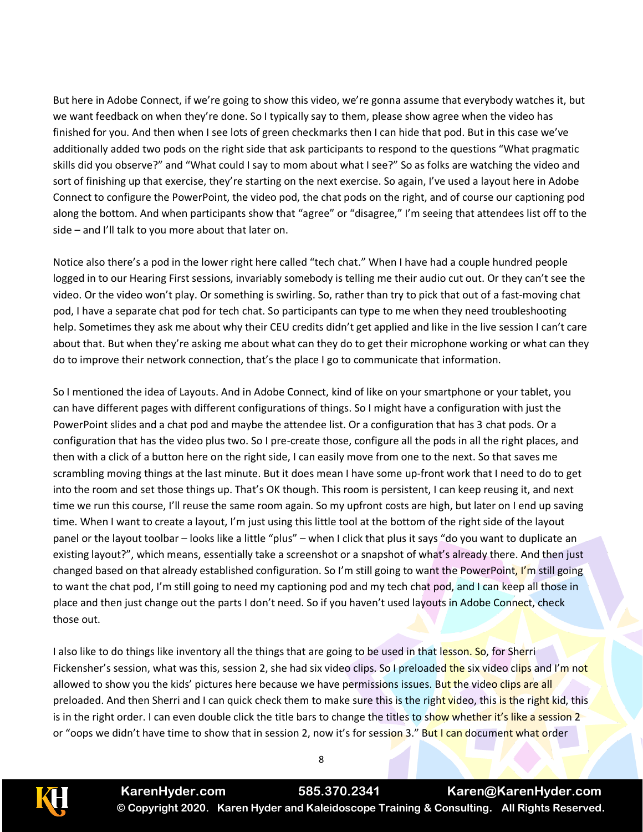But here in Adobe Connect, if we're going to show this video, we're gonna assume that everybody watches it, but we want feedback on when they're done. So I typically say to them, please show agree when the video has finished for you. And then when I see lots of green checkmarks then I can hide that pod. But in this case we've additionally added two pods on the right side that ask participants to respond to the questions "What pragmatic skills did you observe?" and "What could I say to mom about what I see?" So as folks are watching the video and sort of finishing up that exercise, they're starting on the next exercise. So again, I've used a layout here in Adobe Connect to configure the PowerPoint, the video pod, the chat pods on the right, and of course our captioning pod along the bottom. And when participants show that "agree" or "disagree," I'm seeing that attendees list off to the side – and I'll talk to you more about that later on.

Notice also there's a pod in the lower right here called "tech chat." When I have had a couple hundred people logged in to our Hearing First sessions, invariably somebody is telling me their audio cut out. Or they can't see the video. Or the video won't play. Or something is swirling. So, rather than try to pick that out of a fast-moving chat pod, I have a separate chat pod for tech chat. So participants can type to me when they need troubleshooting help. Sometimes they ask me about why their CEU credits didn't get applied and like in the live session I can't care about that. But when they're asking me about what can they do to get their microphone working or what can they do to improve their network connection, that's the place I go to communicate that information.

So I mentioned the idea of Layouts. And in Adobe Connect, kind of like on your smartphone or your tablet, you can have different pages with different configurations of things. So I might have a configuration with just the PowerPoint slides and a chat pod and maybe the attendee list. Or a configuration that has 3 chat pods. Or a configuration that has the video plus two. So I pre-create those, configure all the pods in all the right places, and then with a click of a button here on the right side, I can easily move from one to the next. So that saves me scrambling moving things at the last minute. But it does mean I have some up-front work that I need to do to get into the room and set those things up. That's OK though. This room is persistent, I can keep reusing it, and next time we run this course, I'll reuse the same room again. So my upfront costs are high, but later on I end up saving time. When I want to create a layout, I'm just using this little tool at the bottom of the right side of the layout panel or the layout toolbar – looks like a little "plus" – when I click that plus it says "do you want to duplicate an existing layout?", which means, essentially take a screenshot or a snapshot of what's already there. And then just changed based on that already established configuration. So I'm still going to want the PowerPoint, I'm still going to want the chat pod, I'm still going to need my captioning pod and my tech chat pod, and I can keep all those in place and then just change out the parts I don't need. So if you haven't used layouts in Adobe Connect, check those out.

I also like to do things like inventory all the things that are going to be used in that lesson. So, for Sherri Fickensher's session, what was this, session 2, she had six video clips. So I preloaded the six video clips and I'm not allowed to show you the kids' pictures here because we have permissions issues. But the video clips are all preloaded. And then Sherri and I can quick check them to make sure this is the right video, this is the right kid, this is in the right order. I can even double click the title bars to change the titles to show whether it's like a session 2 or "oops we didn't have time to show that in session 2, now it's for session 3." But I can document what order



**KarenHyder.com 585.370.2341 Karen@KarenHyder.com © Copyright 2020. Karen Hyder and Kaleidoscope Training & Consulting. All Rights Reserved.**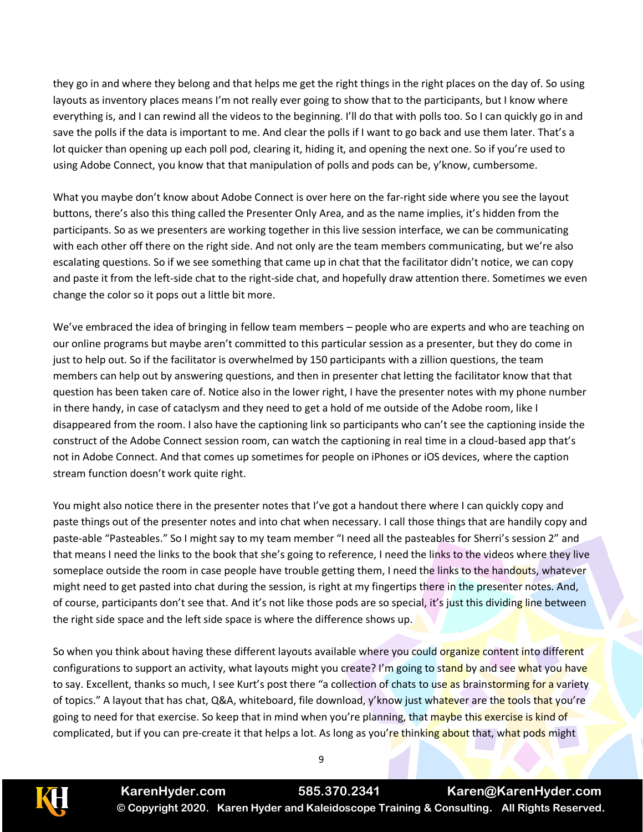they go in and where they belong and that helps me get the right things in the right places on the day of. So using layouts as inventory places means I'm not really ever going to show that to the participants, but I know where everything is, and I can rewind all the videos to the beginning. I'll do that with polls too. So I can quickly go in and save the polls if the data is important to me. And clear the polls if I want to go back and use them later. That's a lot quicker than opening up each poll pod, clearing it, hiding it, and opening the next one. So if you're used to using Adobe Connect, you know that that manipulation of polls and pods can be, y'know, cumbersome.

What you maybe don't know about Adobe Connect is over here on the far-right side where you see the layout buttons, there's also this thing called the Presenter Only Area, and as the name implies, it's hidden from the participants. So as we presenters are working together in this live session interface, we can be communicating with each other off there on the right side. And not only are the team members communicating, but we're also escalating questions. So if we see something that came up in chat that the facilitator didn't notice, we can copy and paste it from the left-side chat to the right-side chat, and hopefully draw attention there. Sometimes we even change the color so it pops out a little bit more.

We've embraced the idea of bringing in fellow team members – people who are experts and who are teaching on our online programs but maybe aren't committed to this particular session as a presenter, but they do come in just to help out. So if the facilitator is overwhelmed by 150 participants with a zillion questions, the team members can help out by answering questions, and then in presenter chat letting the facilitator know that that question has been taken care of. Notice also in the lower right, I have the presenter notes with my phone number in there handy, in case of cataclysm and they need to get a hold of me outside of the Adobe room, like I disappeared from the room. I also have the captioning link so participants who can't see the captioning inside the construct of the Adobe Connect session room, can watch the captioning in real time in a cloud-based app that's not in Adobe Connect. And that comes up sometimes for people on iPhones or iOS devices, where the caption stream function doesn't work quite right.

You might also notice there in the presenter notes that I've got a handout there where I can quickly copy and paste things out of the presenter notes and into chat when necessary. I call those things that are handily copy and paste-able "Pasteables." So I might say to my team member "I need all the pasteables for Sherri's session 2" and that means I need the links to the book that she's going to reference, I need the links to the videos where they live someplace outside the room in case people have trouble getting them, I need the links to the handouts, whatever might need to get pasted into chat during the session, is right at my fingertips there in the presenter notes. And, of course, participants don't see that. And it's not like those pods are so special, it's just this dividing line between the right side space and the left side space is where the difference shows up.

So when you think about having these different layouts available where you could organize content into different configurations to support an activity, what layouts might you create? I'm going to stand by and see what you have to say. Excellent, thanks so much, I see Kurt's post there "a collection of chats to use as brainstorming for a variety of topics." A layout that has chat, Q&A, whiteboard, file download, y'know just whatever are the tools that you're going to need for that exercise. So keep that in mind when you're planning, that maybe this exercise is kind of complicated, but if you can pre-create it that helps a lot. As long as you're thinking about that, what pods might



**KarenHyder.com 585.370.2341 Karen@KarenHyder.com © Copyright 2020. Karen Hyder and Kaleidoscope Training & Consulting. All Rights Reserved.**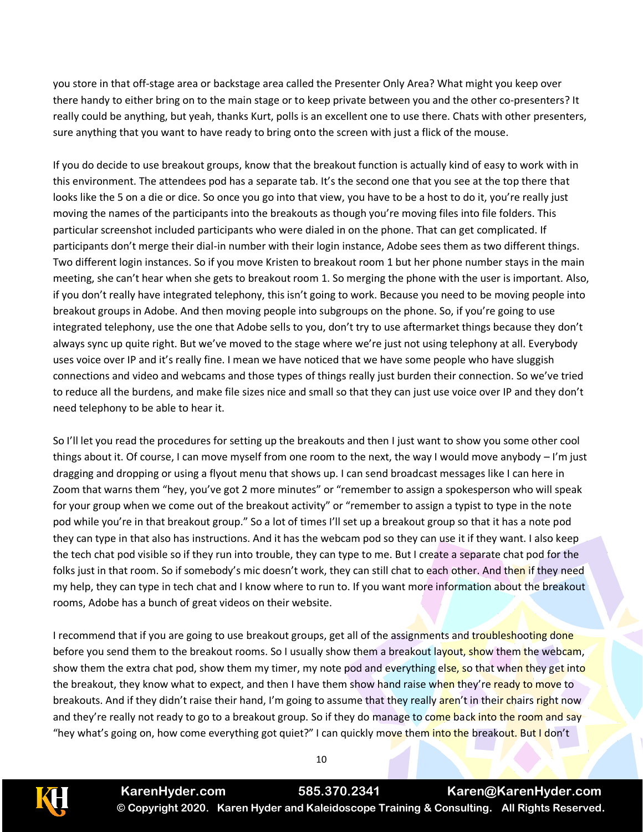you store in that off-stage area or backstage area called the Presenter Only Area? What might you keep over there handy to either bring on to the main stage or to keep private between you and the other co-presenters? It really could be anything, but yeah, thanks Kurt, polls is an excellent one to use there. Chats with other presenters, sure anything that you want to have ready to bring onto the screen with just a flick of the mouse.

If you do decide to use breakout groups, know that the breakout function is actually kind of easy to work with in this environment. The attendees pod has a separate tab. It's the second one that you see at the top there that looks like the 5 on a die or dice. So once you go into that view, you have to be a host to do it, you're really just moving the names of the participants into the breakouts as though you're moving files into file folders. This particular screenshot included participants who were dialed in on the phone. That can get complicated. If participants don't merge their dial-in number with their login instance, Adobe sees them as two different things. Two different login instances. So if you move Kristen to breakout room 1 but her phone number stays in the main meeting, she can't hear when she gets to breakout room 1. So merging the phone with the user is important. Also, if you don't really have integrated telephony, this isn't going to work. Because you need to be moving people into breakout groups in Adobe. And then moving people into subgroups on the phone. So, if you're going to use integrated telephony, use the one that Adobe sells to you, don't try to use aftermarket things because they don't always sync up quite right. But we've moved to the stage where we're just not using telephony at all. Everybody uses voice over IP and it's really fine. I mean we have noticed that we have some people who have sluggish connections and video and webcams and those types of things really just burden their connection. So we've tried to reduce all the burdens, and make file sizes nice and small so that they can just use voice over IP and they don't need telephony to be able to hear it.

So I'll let you read the procedures for setting up the breakouts and then I just want to show you some other cool things about it. Of course, I can move myself from one room to the next, the way I would move anybody – I'm just dragging and dropping or using a flyout menu that shows up. I can send broadcast messages like I can here in Zoom that warns them "hey, you've got 2 more minutes" or "remember to assign a spokesperson who will speak for your group when we come out of the breakout activity" or "remember to assign a typist to type in the note pod while you're in that breakout group." So a lot of times I'll set up a breakout group so that it has a note pod they can type in that also has instructions. And it has the webcam pod so they can use it if they want. I also keep the tech chat pod visible so if they run into trouble, they can type to me. But I create a separate chat pod for the folks just in that room. So if somebody's mic doesn't work, they can still chat to each other. And then if they need my help, they can type in tech chat and I know where to run to. If you want more information about the breakout rooms, Adobe has a bunch of great videos on their website.

I recommend that if you are going to use breakout groups, get all of the assignments and troubleshooting done before you send them to the breakout rooms. So I usually show them a breakout layout, show them the webcam, show them the extra chat pod, show them my timer, my note pod and everything else, so that when they get into the breakout, they know what to expect, and then I have them show hand raise when they're ready to move to breakouts. And if they didn't raise their hand, I'm going to assume that they really aren't in their chairs right now and they're really not ready to go to a breakout group. So if they do manage to come back into the room and say "hey what's going on, how come everything got quiet?" I can quickly move them into the breakout. But I don't



**KarenHyder.com 585.370.2341 Karen@KarenHyder.com © Copyright 2020. Karen Hyder and Kaleidoscope Training & Consulting. All Rights Reserved.**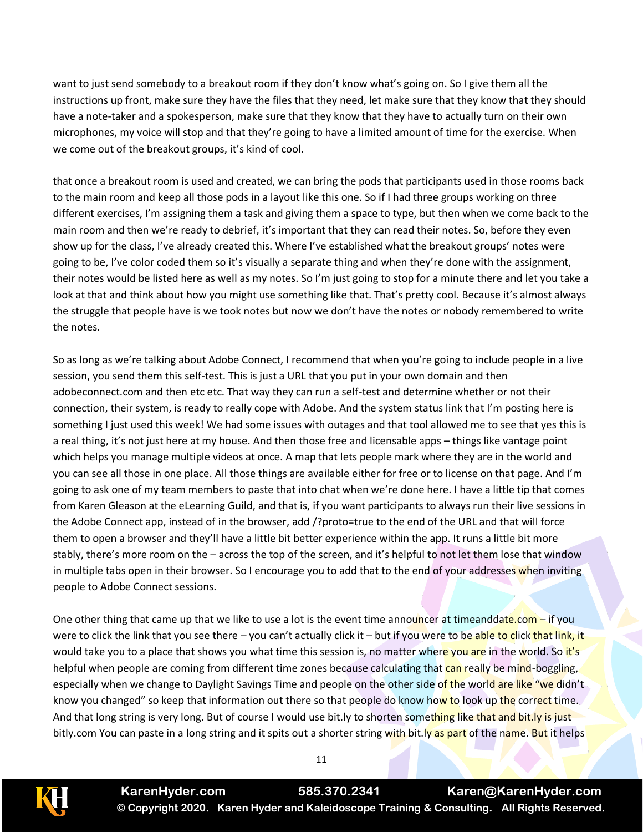want to just send somebody to a breakout room if they don't know what's going on. So I give them all the instructions up front, make sure they have the files that they need, let make sure that they know that they should have a note-taker and a spokesperson, make sure that they know that they have to actually turn on their own microphones, my voice will stop and that they're going to have a limited amount of time for the exercise. When we come out of the breakout groups, it's kind of cool.

that once a breakout room is used and created, we can bring the pods that participants used in those rooms back to the main room and keep all those pods in a layout like this one. So if I had three groups working on three different exercises, I'm assigning them a task and giving them a space to type, but then when we come back to the main room and then we're ready to debrief, it's important that they can read their notes. So, before they even show up for the class, I've already created this. Where I've established what the breakout groups' notes were going to be, I've color coded them so it's visually a separate thing and when they're done with the assignment, their notes would be listed here as well as my notes. So I'm just going to stop for a minute there and let you take a look at that and think about how you might use something like that. That's pretty cool. Because it's almost always the struggle that people have is we took notes but now we don't have the notes or nobody remembered to write the notes.

So as long as we're talking about Adobe Connect, I recommend that when you're going to include people in a live session, you send them this self-test. This is just a URL that you put in your own domain and then adobeconnect.com and then etc etc. That way they can run a self-test and determine whether or not their connection, their system, is ready to really cope with Adobe. And the system status link that I'm posting here is something I just used this week! We had some issues with outages and that tool allowed me to see that yes this is a real thing, it's not just here at my house. And then those free and licensable apps – things like vantage point which helps you manage multiple videos at once. A map that lets people mark where they are in the world and you can see all those in one place. All those things are available either for free or to license on that page. And I'm going to ask one of my team members to paste that into chat when we're done here. I have a little tip that comes from Karen Gleason at the eLearning Guild, and that is, if you want participants to always run their live sessions in the Adobe Connect app, instead of in the browser, add /?proto=true to the end of the URL and that will force them to open a browser and they'll have a little bit better experience within the app. It runs a little bit more stably, there's more room on the – across the top of the screen, and it's helpful to not let them lose that window in multiple tabs open in their browser. So I encourage you to add that to the end of your addresses when inviting people to Adobe Connect sessions.

One other thing that came up that we like to use a lot is the event time announcer at timeanddate.com – if you were to click the link that you see there – you can't actually click it – but if you were to be able to click that link, it would take you to a place that shows you what time this session is, no matter where you are in the world. So it's helpful when people are coming from different time zones because calculating that can really be mind-boggling, especially when we change to Daylight Savings Time and people on the other side of the world are like "we didn't know you changed" so keep that information out there so that people do know how to look up the correct time. And that long string is very long. But of course I would use bit.ly to shorten something like that and bit.ly is just bitly.com You can paste in a long string and it spits out a shorter string with bit.ly as part of the name. But it helps



**KarenHyder.com 585.370.2341 Karen@KarenHyder.com © Copyright 2020. Karen Hyder and Kaleidoscope Training & Consulting. All Rights Reserved.**